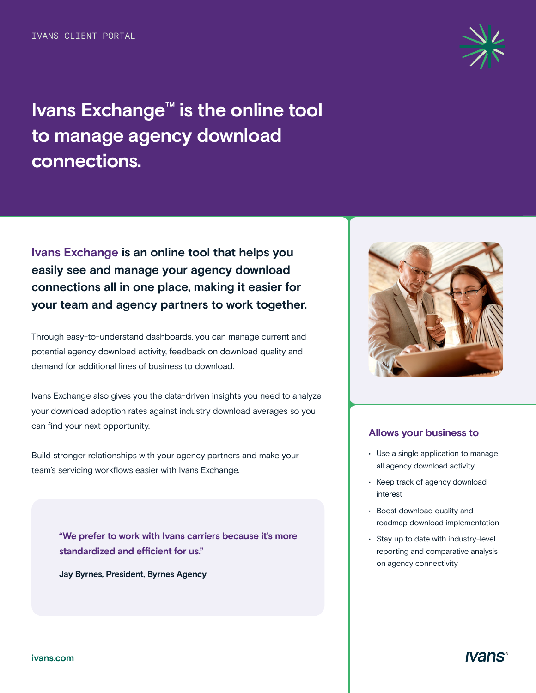# **Ivans Exchange™ is the online tool to manage agency download connections.**

**Ivans Exchange is an online tool that helps you easily see and manage your agency download connections all in one place, making it easier for your team and agency partners to work together.** 

Through easy-to-understand dashboards, you can manage current and potential agency download activity, feedback on download quality and demand for additional lines of business to download.

Ivans Exchange also gives you the data-driven insights you need to analyze your download adoption rates against industry download averages so you can find your next opportunity.

Build stronger relationships with your agency partners and make your team's servicing workflows easier with Ivans Exchange.

> **"We prefer to work with Ivans carriers because it's more standardized and efficient for us."**

**Jay Byrnes, President, Byrnes Agency** 



#### **Allows your business to**

- Use a single application to manage all agency download activity
- Keep track of agency download interest
- Boost download quality and roadmap download implementation
- Stay up to date with industry-level reporting and comparative analysis on agency connectivity

*Ivans*